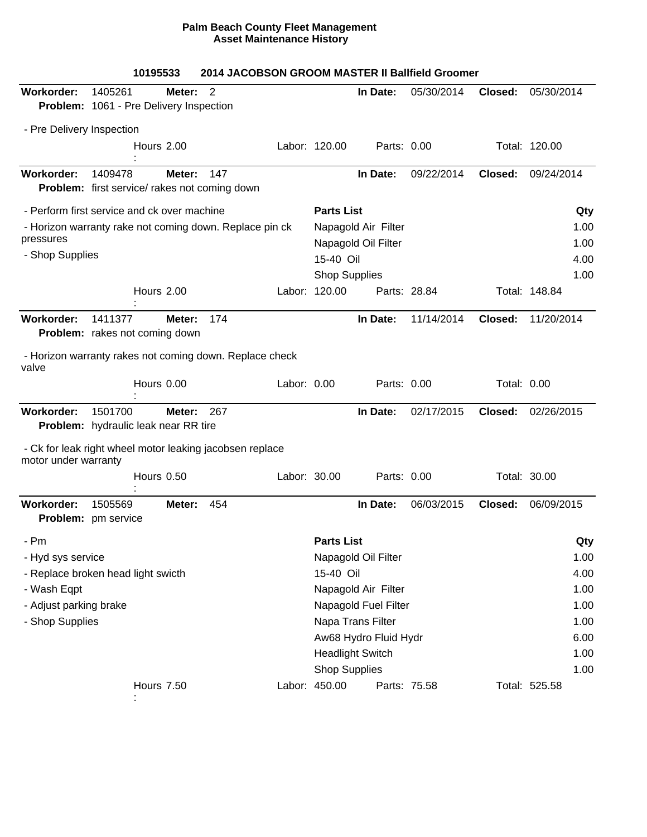## **Palm Beach County Fleet Management Asset Maintenance History**

|                                    | 10195533                                                        |        | 2014 JACOBSON GROOM MASTER II Ballfield Groomer |             |                             |                              |              |                    |               |  |
|------------------------------------|-----------------------------------------------------------------|--------|-------------------------------------------------|-------------|-----------------------------|------------------------------|--------------|--------------------|---------------|--|
| Workorder:                         | 1405261                                                         | Meter: | 2                                               |             |                             | In Date:                     | 05/30/2014   | Closed:            | 05/30/2014    |  |
|                                    | Problem: 1061 - Pre Delivery Inspection                         |        |                                                 |             |                             |                              |              |                    |               |  |
| - Pre Delivery Inspection          |                                                                 |        |                                                 |             |                             |                              |              |                    |               |  |
|                                    | Hours 2.00                                                      |        |                                                 |             | Labor: 120.00               | Parts: 0.00                  |              |                    | Total: 120.00 |  |
|                                    |                                                                 |        |                                                 |             |                             |                              |              |                    |               |  |
| <b>Workorder:</b>                  | 1409478<br><b>Problem:</b> first service/ rakes not coming down | Meter: | 147                                             |             |                             | In Date:                     | 09/22/2014   | Closed:            | 09/24/2014    |  |
|                                    | - Perform first service and ck over machine                     |        |                                                 |             | <b>Parts List</b>           |                              |              |                    | Qty           |  |
|                                    | - Horizon warranty rake not coming down. Replace pin ck         |        |                                                 |             | Napagold Air Filter<br>1.00 |                              |              |                    |               |  |
| pressures                          |                                                                 |        |                                                 |             |                             | Napagold Oil Filter          |              |                    | 1.00          |  |
| - Shop Supplies                    |                                                                 |        |                                                 |             | 15-40 Oil                   |                              |              |                    |               |  |
|                                    |                                                                 |        |                                                 |             | <b>Shop Supplies</b>        |                              |              |                    | 1.00          |  |
|                                    | Hours 2.00                                                      |        |                                                 |             | Labor: 120.00               |                              | Parts: 28.84 |                    | Total: 148.84 |  |
| <b>Workorder:</b>                  | 1411377                                                         | Meter: | 174                                             |             |                             | In Date:                     | 11/14/2014   | Closed:            | 11/20/2014    |  |
|                                    | <b>Problem:</b> rakes not coming down                           |        |                                                 |             |                             |                              |              |                    |               |  |
| valve                              | - Horizon warranty rakes not coming down. Replace check         |        |                                                 |             |                             |                              |              |                    |               |  |
|                                    | Hours 0.00                                                      |        |                                                 | Labor: 0.00 |                             | Parts: 0.00                  |              | <b>Total: 0.00</b> |               |  |
| Workorder:                         | 1501700                                                         | Meter: | 267                                             |             |                             | In Date:                     | 02/17/2015   | Closed:            | 02/26/2015    |  |
|                                    | <b>Problem:</b> hydraulic leak near RR tire                     |        |                                                 |             |                             |                              |              |                    |               |  |
| motor under warranty               | - Ck for leak right wheel motor leaking jacobsen replace        |        |                                                 |             |                             |                              |              |                    |               |  |
|                                    | Hours 0.50                                                      |        |                                                 |             | Labor: 30.00                | Parts: 0.00                  |              |                    | Total: 30.00  |  |
| Workorder:                         | 1505569<br>Problem: pm service                                  | Meter: | 454                                             |             |                             | In Date:                     | 06/03/2015   | Closed:            | 06/09/2015    |  |
| Pm                                 |                                                                 |        |                                                 |             | <b>Parts List</b>           |                              |              |                    | Qty           |  |
| - Hyd sys service                  |                                                                 |        |                                                 |             | Napagold Oil Filter<br>1.00 |                              |              |                    |               |  |
| - Replace broken head light swicth |                                                                 |        |                                                 |             | 15-40 Oil<br>4.00           |                              |              |                    |               |  |
| - Wash Eqpt                        |                                                                 |        |                                                 |             |                             | Napagold Air Filter          |              |                    |               |  |
| - Adjust parking brake             |                                                                 |        |                                                 |             |                             | Napagold Fuel Filter<br>1.00 |              |                    |               |  |
| - Shop Supplies                    |                                                                 |        |                                                 |             | Napa Trans Filter           | 1.00                         |              |                    |               |  |
|                                    |                                                                 |        |                                                 |             |                             | Aw68 Hydro Fluid Hydr        |              |                    | 6.00          |  |
|                                    |                                                                 |        |                                                 |             |                             | <b>Headlight Switch</b>      |              |                    | 1.00          |  |
|                                    |                                                                 |        |                                                 |             | <b>Shop Supplies</b>        |                              |              |                    | 1.00          |  |
|                                    | <b>Hours 7.50</b>                                               |        |                                                 |             | Labor: 450.00               |                              | Parts: 75.58 |                    | Total: 525.58 |  |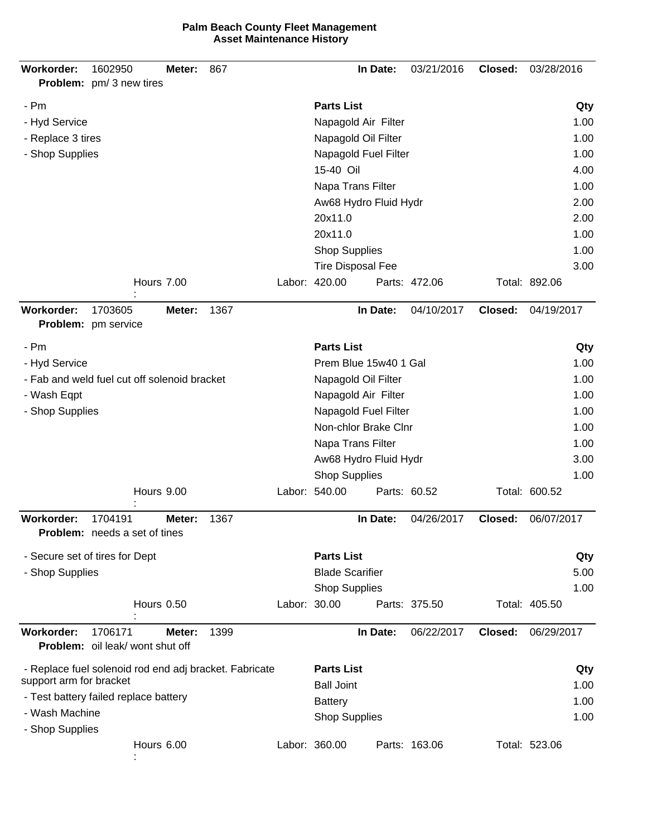| <b>Parts List</b><br>- Pm<br>- Hyd Service<br>Napagold Air Filter<br>1.00<br>- Replace 3 tires<br>Napagold Oil Filter<br>- Shop Supplies<br>Napagold Fuel Filter<br>1.00<br>15-40 Oil<br>Napa Trans Filter<br>Aw68 Hydro Fluid Hydr<br>20x11.0<br>20x11.0<br><b>Shop Supplies</b><br><b>Tire Disposal Fee</b><br>Labor: 420.00<br>Hours 7.00<br>Total: 892.06<br>Parts: 472.06<br><b>Workorder:</b><br>1703605<br>1367<br>In Date:<br>04/10/2017<br>04/19/2017<br>Closed:<br>Meter:<br>Problem: pm service<br><b>Parts List</b><br>- Pm<br>Prem Blue 15w40 1 Gal<br>- Hyd Service<br>- Fab and weld fuel cut off solenoid bracket<br>Napagold Oil Filter<br>1.00<br>- Wash Eqpt<br>Napagold Air Filter<br>1.00<br>- Shop Supplies<br>Napagold Fuel Filter<br>Non-chlor Brake Clnr<br>Napa Trans Filter<br>Aw68 Hydro Fluid Hydr<br><b>Shop Supplies</b><br>Labor: 540.00<br>Hours 9.00<br>Parts: 60.52<br>Total: 600.52<br>Workorder:<br>1704191<br>1367<br>In Date:<br>04/26/2017<br>06/07/2017<br>Meter:<br>Closed:<br><b>Problem:</b> needs a set of tines<br><b>Parts List</b><br>- Secure set of tires for Dept<br>Qty<br><b>Blade Scarifier</b><br>- Shop Supplies<br><b>Shop Supplies</b><br>Labor: 30.00<br>Hours 0.50<br>Total: 405.50<br>Parts: 375.50<br>06/22/2017<br>06/29/2017<br>Workorder:<br>1399<br>In Date:<br>Closed:<br>1706171<br>Meter:<br>Problem: oil leak/ wont shut off<br><b>Parts List</b><br>- Replace fuel solenoid rod end adj bracket. Fabricate<br>support arm for bracket<br><b>Ball Joint</b><br>- Test battery failed replace battery<br>1.00<br><b>Battery</b><br>- Wash Machine<br><b>Shop Supplies</b><br>- Shop Supplies<br>Hours 6.00<br>Labor: 360.00<br>Parts: 163.06<br>Total: 523.06 | Workorder: | 1602950<br>Problem: pm/3 new tires | Meter: | 867 |  |     | In Date: | 03/21/2016 | Closed: | 03/28/2016 |      |  |  |
|------------------------------------------------------------------------------------------------------------------------------------------------------------------------------------------------------------------------------------------------------------------------------------------------------------------------------------------------------------------------------------------------------------------------------------------------------------------------------------------------------------------------------------------------------------------------------------------------------------------------------------------------------------------------------------------------------------------------------------------------------------------------------------------------------------------------------------------------------------------------------------------------------------------------------------------------------------------------------------------------------------------------------------------------------------------------------------------------------------------------------------------------------------------------------------------------------------------------------------------------------------------------------------------------------------------------------------------------------------------------------------------------------------------------------------------------------------------------------------------------------------------------------------------------------------------------------------------------------------------------------------------------------------------------------------------------------------------------------------|------------|------------------------------------|--------|-----|--|-----|----------|------------|---------|------------|------|--|--|
|                                                                                                                                                                                                                                                                                                                                                                                                                                                                                                                                                                                                                                                                                                                                                                                                                                                                                                                                                                                                                                                                                                                                                                                                                                                                                                                                                                                                                                                                                                                                                                                                                                                                                                                                    |            |                                    |        |     |  |     |          |            |         |            | Qty  |  |  |
|                                                                                                                                                                                                                                                                                                                                                                                                                                                                                                                                                                                                                                                                                                                                                                                                                                                                                                                                                                                                                                                                                                                                                                                                                                                                                                                                                                                                                                                                                                                                                                                                                                                                                                                                    |            |                                    |        |     |  |     |          |            |         |            |      |  |  |
|                                                                                                                                                                                                                                                                                                                                                                                                                                                                                                                                                                                                                                                                                                                                                                                                                                                                                                                                                                                                                                                                                                                                                                                                                                                                                                                                                                                                                                                                                                                                                                                                                                                                                                                                    |            |                                    |        |     |  |     |          |            |         |            | 1.00 |  |  |
|                                                                                                                                                                                                                                                                                                                                                                                                                                                                                                                                                                                                                                                                                                                                                                                                                                                                                                                                                                                                                                                                                                                                                                                                                                                                                                                                                                                                                                                                                                                                                                                                                                                                                                                                    |            |                                    |        |     |  |     |          |            |         |            |      |  |  |
|                                                                                                                                                                                                                                                                                                                                                                                                                                                                                                                                                                                                                                                                                                                                                                                                                                                                                                                                                                                                                                                                                                                                                                                                                                                                                                                                                                                                                                                                                                                                                                                                                                                                                                                                    |            |                                    |        |     |  |     |          |            |         |            | 4.00 |  |  |
|                                                                                                                                                                                                                                                                                                                                                                                                                                                                                                                                                                                                                                                                                                                                                                                                                                                                                                                                                                                                                                                                                                                                                                                                                                                                                                                                                                                                                                                                                                                                                                                                                                                                                                                                    |            |                                    |        |     |  |     |          |            |         |            | 1.00 |  |  |
|                                                                                                                                                                                                                                                                                                                                                                                                                                                                                                                                                                                                                                                                                                                                                                                                                                                                                                                                                                                                                                                                                                                                                                                                                                                                                                                                                                                                                                                                                                                                                                                                                                                                                                                                    |            |                                    |        |     |  |     |          |            |         |            | 2.00 |  |  |
|                                                                                                                                                                                                                                                                                                                                                                                                                                                                                                                                                                                                                                                                                                                                                                                                                                                                                                                                                                                                                                                                                                                                                                                                                                                                                                                                                                                                                                                                                                                                                                                                                                                                                                                                    |            |                                    |        |     |  |     |          |            |         |            | 2.00 |  |  |
|                                                                                                                                                                                                                                                                                                                                                                                                                                                                                                                                                                                                                                                                                                                                                                                                                                                                                                                                                                                                                                                                                                                                                                                                                                                                                                                                                                                                                                                                                                                                                                                                                                                                                                                                    |            |                                    |        |     |  |     |          |            |         |            | 1.00 |  |  |
|                                                                                                                                                                                                                                                                                                                                                                                                                                                                                                                                                                                                                                                                                                                                                                                                                                                                                                                                                                                                                                                                                                                                                                                                                                                                                                                                                                                                                                                                                                                                                                                                                                                                                                                                    |            |                                    |        |     |  |     |          |            |         |            | 1.00 |  |  |
|                                                                                                                                                                                                                                                                                                                                                                                                                                                                                                                                                                                                                                                                                                                                                                                                                                                                                                                                                                                                                                                                                                                                                                                                                                                                                                                                                                                                                                                                                                                                                                                                                                                                                                                                    |            |                                    |        |     |  |     |          |            |         |            | 3.00 |  |  |
|                                                                                                                                                                                                                                                                                                                                                                                                                                                                                                                                                                                                                                                                                                                                                                                                                                                                                                                                                                                                                                                                                                                                                                                                                                                                                                                                                                                                                                                                                                                                                                                                                                                                                                                                    |            |                                    |        |     |  |     |          |            |         |            |      |  |  |
|                                                                                                                                                                                                                                                                                                                                                                                                                                                                                                                                                                                                                                                                                                                                                                                                                                                                                                                                                                                                                                                                                                                                                                                                                                                                                                                                                                                                                                                                                                                                                                                                                                                                                                                                    |            |                                    |        |     |  |     |          |            |         |            |      |  |  |
|                                                                                                                                                                                                                                                                                                                                                                                                                                                                                                                                                                                                                                                                                                                                                                                                                                                                                                                                                                                                                                                                                                                                                                                                                                                                                                                                                                                                                                                                                                                                                                                                                                                                                                                                    |            |                                    |        |     |  |     |          |            |         |            | Qty  |  |  |
|                                                                                                                                                                                                                                                                                                                                                                                                                                                                                                                                                                                                                                                                                                                                                                                                                                                                                                                                                                                                                                                                                                                                                                                                                                                                                                                                                                                                                                                                                                                                                                                                                                                                                                                                    |            |                                    |        |     |  |     |          |            |         |            | 1.00 |  |  |
|                                                                                                                                                                                                                                                                                                                                                                                                                                                                                                                                                                                                                                                                                                                                                                                                                                                                                                                                                                                                                                                                                                                                                                                                                                                                                                                                                                                                                                                                                                                                                                                                                                                                                                                                    |            |                                    |        |     |  |     |          |            |         |            |      |  |  |
|                                                                                                                                                                                                                                                                                                                                                                                                                                                                                                                                                                                                                                                                                                                                                                                                                                                                                                                                                                                                                                                                                                                                                                                                                                                                                                                                                                                                                                                                                                                                                                                                                                                                                                                                    |            |                                    |        |     |  |     |          |            |         |            |      |  |  |
|                                                                                                                                                                                                                                                                                                                                                                                                                                                                                                                                                                                                                                                                                                                                                                                                                                                                                                                                                                                                                                                                                                                                                                                                                                                                                                                                                                                                                                                                                                                                                                                                                                                                                                                                    |            |                                    |        |     |  |     |          |            |         |            | 1.00 |  |  |
|                                                                                                                                                                                                                                                                                                                                                                                                                                                                                                                                                                                                                                                                                                                                                                                                                                                                                                                                                                                                                                                                                                                                                                                                                                                                                                                                                                                                                                                                                                                                                                                                                                                                                                                                    |            |                                    |        |     |  |     |          |            |         |            | 1.00 |  |  |
|                                                                                                                                                                                                                                                                                                                                                                                                                                                                                                                                                                                                                                                                                                                                                                                                                                                                                                                                                                                                                                                                                                                                                                                                                                                                                                                                                                                                                                                                                                                                                                                                                                                                                                                                    |            |                                    |        |     |  |     |          |            |         |            | 1.00 |  |  |
|                                                                                                                                                                                                                                                                                                                                                                                                                                                                                                                                                                                                                                                                                                                                                                                                                                                                                                                                                                                                                                                                                                                                                                                                                                                                                                                                                                                                                                                                                                                                                                                                                                                                                                                                    |            |                                    |        |     |  |     |          |            |         |            | 3.00 |  |  |
|                                                                                                                                                                                                                                                                                                                                                                                                                                                                                                                                                                                                                                                                                                                                                                                                                                                                                                                                                                                                                                                                                                                                                                                                                                                                                                                                                                                                                                                                                                                                                                                                                                                                                                                                    |            |                                    |        |     |  |     |          |            |         |            | 1.00 |  |  |
|                                                                                                                                                                                                                                                                                                                                                                                                                                                                                                                                                                                                                                                                                                                                                                                                                                                                                                                                                                                                                                                                                                                                                                                                                                                                                                                                                                                                                                                                                                                                                                                                                                                                                                                                    |            |                                    |        |     |  |     |          |            |         |            |      |  |  |
|                                                                                                                                                                                                                                                                                                                                                                                                                                                                                                                                                                                                                                                                                                                                                                                                                                                                                                                                                                                                                                                                                                                                                                                                                                                                                                                                                                                                                                                                                                                                                                                                                                                                                                                                    |            |                                    |        |     |  |     |          |            |         |            |      |  |  |
|                                                                                                                                                                                                                                                                                                                                                                                                                                                                                                                                                                                                                                                                                                                                                                                                                                                                                                                                                                                                                                                                                                                                                                                                                                                                                                                                                                                                                                                                                                                                                                                                                                                                                                                                    |            |                                    |        |     |  |     |          |            |         |            |      |  |  |
|                                                                                                                                                                                                                                                                                                                                                                                                                                                                                                                                                                                                                                                                                                                                                                                                                                                                                                                                                                                                                                                                                                                                                                                                                                                                                                                                                                                                                                                                                                                                                                                                                                                                                                                                    |            |                                    |        |     |  |     |          |            |         |            | 5.00 |  |  |
|                                                                                                                                                                                                                                                                                                                                                                                                                                                                                                                                                                                                                                                                                                                                                                                                                                                                                                                                                                                                                                                                                                                                                                                                                                                                                                                                                                                                                                                                                                                                                                                                                                                                                                                                    |            |                                    |        |     |  |     |          |            |         |            | 1.00 |  |  |
|                                                                                                                                                                                                                                                                                                                                                                                                                                                                                                                                                                                                                                                                                                                                                                                                                                                                                                                                                                                                                                                                                                                                                                                                                                                                                                                                                                                                                                                                                                                                                                                                                                                                                                                                    |            |                                    |        |     |  |     |          |            |         |            |      |  |  |
|                                                                                                                                                                                                                                                                                                                                                                                                                                                                                                                                                                                                                                                                                                                                                                                                                                                                                                                                                                                                                                                                                                                                                                                                                                                                                                                                                                                                                                                                                                                                                                                                                                                                                                                                    |            |                                    |        |     |  |     |          |            |         |            |      |  |  |
|                                                                                                                                                                                                                                                                                                                                                                                                                                                                                                                                                                                                                                                                                                                                                                                                                                                                                                                                                                                                                                                                                                                                                                                                                                                                                                                                                                                                                                                                                                                                                                                                                                                                                                                                    |            |                                    |        |     |  |     |          |            |         |            |      |  |  |
|                                                                                                                                                                                                                                                                                                                                                                                                                                                                                                                                                                                                                                                                                                                                                                                                                                                                                                                                                                                                                                                                                                                                                                                                                                                                                                                                                                                                                                                                                                                                                                                                                                                                                                                                    |            |                                    |        |     |  | Qty |          |            |         |            |      |  |  |
|                                                                                                                                                                                                                                                                                                                                                                                                                                                                                                                                                                                                                                                                                                                                                                                                                                                                                                                                                                                                                                                                                                                                                                                                                                                                                                                                                                                                                                                                                                                                                                                                                                                                                                                                    |            |                                    |        |     |  |     |          |            |         |            | 1.00 |  |  |
|                                                                                                                                                                                                                                                                                                                                                                                                                                                                                                                                                                                                                                                                                                                                                                                                                                                                                                                                                                                                                                                                                                                                                                                                                                                                                                                                                                                                                                                                                                                                                                                                                                                                                                                                    |            |                                    |        |     |  |     |          |            |         |            |      |  |  |
|                                                                                                                                                                                                                                                                                                                                                                                                                                                                                                                                                                                                                                                                                                                                                                                                                                                                                                                                                                                                                                                                                                                                                                                                                                                                                                                                                                                                                                                                                                                                                                                                                                                                                                                                    |            |                                    |        |     |  |     |          |            |         |            | 1.00 |  |  |
|                                                                                                                                                                                                                                                                                                                                                                                                                                                                                                                                                                                                                                                                                                                                                                                                                                                                                                                                                                                                                                                                                                                                                                                                                                                                                                                                                                                                                                                                                                                                                                                                                                                                                                                                    |            |                                    |        |     |  |     |          |            |         |            |      |  |  |